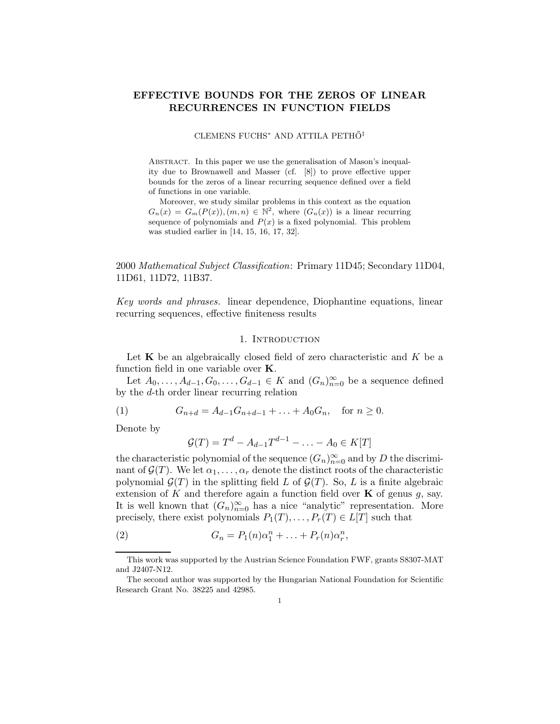# EFFECTIVE BOUNDS FOR THE ZEROS OF LINEAR RECURRENCES IN FUNCTION FIELDS

CLEMENS FUCHS<sup>\*</sup> AND ATTILA PETHŐ<sup>‡</sup>

Abstract. In this paper we use the generalisation of Mason's inequality due to Brownawell and Masser (cf. [8]) to prove effective upper bounds for the zeros of a linear recurring sequence defined over a field of functions in one variable.

Moreover, we study similar problems in this context as the equation  $G_n(x) = G_m(P(x)), (m, n) \in \mathbb{N}^2$ , where  $(G_n(x))$  is a linear recurring sequence of polynomials and  $P(x)$  is a fixed polynomial. This problem was studied earlier in [14, 15, 16, 17, 32].

2000 Mathematical Subject Classification: Primary 11D45; Secondary 11D04, 11D61, 11D72, 11B37.

Key words and phrases. linear dependence, Diophantine equations, linear recurring sequences, effective finiteness results

### 1. INTRODUCTION

Let  $K$  be an algebraically closed field of zero characteristic and  $K$  be a function field in one variable over K.

Let  $A_0, \ldots, A_{d-1}, G_0, \ldots, G_{d-1} \in K$  and  $(G_n)_{n=0}^{\infty}$  be a sequence defined by the d-th order linear recurring relation

(1) 
$$
G_{n+d} = A_{d-1}G_{n+d-1} + \ldots + A_0G_n, \text{ for } n \ge 0.
$$

Denote by

$$
\mathcal{G}(T) = T^d - A_{d-1} T^{d-1} - \dots - A_0 \in K[T]
$$

the characteristic polynomial of the sequence  $(G_n)_{n=0}^{\infty}$  and by D the discriminant of  $\mathcal{G}(T)$ . We let  $\alpha_1, \ldots, \alpha_r$  denote the distinct roots of the characteristic polynomial  $\mathcal{G}(T)$  in the splitting field L of  $\mathcal{G}(T)$ . So, L is a finite algebraic extension of  $K$  and therefore again a function field over  $\bf{K}$  of genus  $g$ , say. It is well known that  $(G_n)_{n=0}^{\infty}$  has a nice "analytic" representation. More precisely, there exist polynomials  $P_1(T), \ldots, P_r(T) \in L[T]$  such that

(2) 
$$
G_n = P_1(n)\alpha_1^n + \ldots + P_r(n)\alpha_r^n,
$$

This work was supported by the Austrian Science Foundation FWF, grants S8307-MAT and J2407-N12.

The second author was supported by the Hungarian National Foundation for Scientific Research Grant No. 38225 and 42985.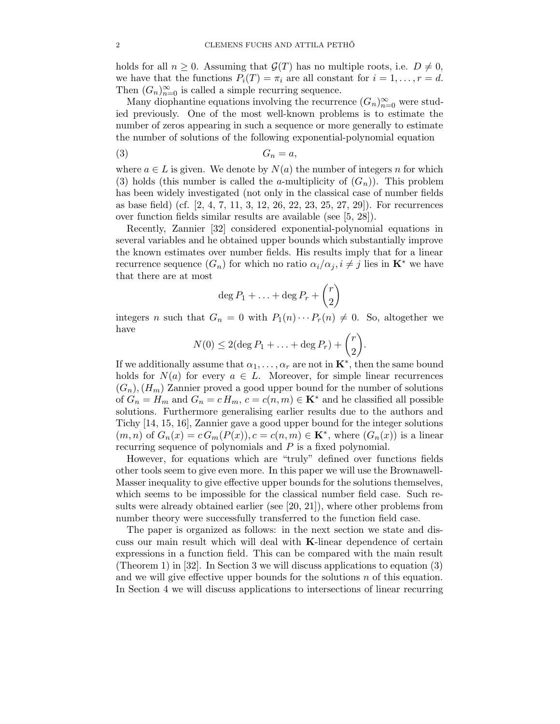holds for all  $n \geq 0$ . Assuming that  $\mathcal{G}(T)$  has no multiple roots, i.e.  $D \neq 0$ , we have that the functions  $P_i(T) = \pi_i$  are all constant for  $i = 1, \ldots, r = d$ . Then  $(G_n)_{n=0}^{\infty}$  is called a simple recurring sequence.

Many diophantine equations involving the recurrence  $(G_n)_{n=0}^{\infty}$  were studied previously. One of the most well-known problems is to estimate the number of zeros appearing in such a sequence or more generally to estimate the number of solutions of the following exponential-polynomial equation

$$
(3) \tG_n = a,
$$

where  $a \in L$  is given. We denote by  $N(a)$  the number of integers n for which (3) holds (this number is called the a-multiplicity of  $(G_n)$ ). This problem has been widely investigated (not only in the classical case of number fields as base field) (cf. [2, 4, 7, 11, 3, 12, 26, 22, 23, 25, 27, 29]). For recurrences over function fields similar results are available (see [5, 28]).

Recently, Zannier [32] considered exponential-polynomial equations in several variables and he obtained upper bounds which substantially improve the known estimates over number fields. His results imply that for a linear recurrence sequence  $(G_n)$  for which no ratio  $\alpha_i/\alpha_j, i \neq j$  lies in  $\mathbf{K}^*$  we have that there are at most

$$
\deg P_1 + \ldots + \deg P_r + \binom{r}{2}
$$

integers n such that  $G_n = 0$  with  $P_1(n) \cdots P_r(n) \neq 0$ . So, altogether we have

$$
N(0) \leq 2(\deg P_1 + \ldots + \deg P_r) + {r \choose 2}.
$$

If we additionally assume that  $\alpha_1, \ldots, \alpha_r$  are not in  $\mathbf{K}^*$ , then the same bound holds for  $N(a)$  for every  $a \in L$ . Moreover, for simple linear recurrences  $(G_n), (H_m)$  Zannier proved a good upper bound for the number of solutions of  $G_n = H_m$  and  $G_n = c H_m$ ,  $c = c(n, m) \in \mathbf{K}^*$  and he classified all possible solutions. Furthermore generalising earlier results due to the authors and Tichy [14, 15, 16], Zannier gave a good upper bound for the integer solutions  $(m, n)$  of  $G_n(x) = c G_m(P(x)), c = c(n, m) \in \mathbf{K}^*$ , where  $(G_n(x))$  is a linear recurring sequence of polynomials and  $P$  is a fixed polynomial.

However, for equations which are "truly" defined over functions fields other tools seem to give even more. In this paper we will use the Brownawell-Masser inequality to give effective upper bounds for the solutions themselves, which seems to be impossible for the classical number field case. Such results were already obtained earlier (see [20, 21]), where other problems from number theory were successfully transferred to the function field case.

The paper is organized as follows: in the next section we state and discuss our main result which will deal with K-linear dependence of certain expressions in a function field. This can be compared with the main result (Theorem 1) in [32]. In Section 3 we will discuss applications to equation (3) and we will give effective upper bounds for the solutions  $n$  of this equation. In Section 4 we will discuss applications to intersections of linear recurring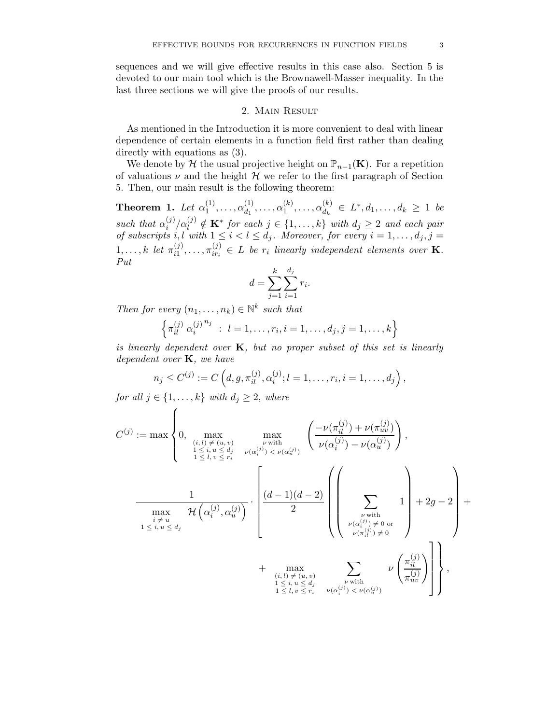sequences and we will give effective results in this case also. Section 5 is devoted to our main tool which is the Brownawell-Masser inequality. In the last three sections we will give the proofs of our results.

### 2. Main Result

As mentioned in the Introduction it is more convenient to deal with linear dependence of certain elements in a function field first rather than dealing directly with equations as (3).

We denote by H the usual projective height on  $\mathbb{P}_{n-1}(\mathbf{K})$ . For a repetition of valuations  $\nu$  and the height  $\mathcal H$  we refer to the first paragraph of Section 5. Then, our main result is the following theorem:

**Theorem 1.** Let  $\alpha_1^{(1)}$  $\alpha_{d_1}^{(1)}, \ldots, \alpha_{d_1}^{(1)}$  $\alpha_1^{(1)}, \ldots, \alpha_1^{(k)}$  $\alpha^{(k)}_1,\ldots,\alpha^{(k)}_{d_k}$  $\begin{array}{l} (k) \ d_k \ \in \ L^*, d_1, \ldots, d_k \ \geq \ 1 \ be \end{array}$ such that  $\alpha_i^{(j)}$  $\mathcal{L}_{i}^{(j)}/\alpha_{l}^{(j)} \notin \mathbf{K}^{*}$  for each  $j \in \{1, ..., k\}$  with  $d_{j} \geq 2$  and each pair of subscripts i, l with  $1 \leq i < l \leq d_j$ . Moreover, for every  $i = 1, \ldots, d_j, j = l$  $1, \ldots, k$  let  $\pi_{i1}^{(j)}$  $\frac{(j)}{i1}, \ldots, \pi \frac{(j)}{ir_i}$  $\sum_{i=1}^{(j)}$   $\in$  *L* be  $r_i$  linearly independent elements over **K**. Put

$$
d = \sum_{j=1}^{k} \sum_{i=1}^{d_j} r_i.
$$

Then for every  $(n_1, \ldots, n_k) \in \mathbb{N}^k$  such that

$$
\left\{ \pi_{il}^{(j)} \alpha_i^{(j) n_j} : l = 1, \dots, r_i, i = 1, \dots, d_j, j = 1, \dots, k \right\}
$$

is linearly dependent over  $K$ , but no proper subset of this set is linearly dependent over  $\bf{K}$ , we have

$$
n_j \leq C^{(j)} := C\left(d, g, \pi_{il}^{(j)}, \alpha_i^{(j)}; l = 1, \dots, r_i, i = 1, \dots, d_j\right),\,
$$

for all  $j \in \{1, \ldots, k\}$  with  $d_j \geq 2$ , where

 $\sqrt{ }$ 

$$
C^{(j)} := \max \left\{ 0, \max_{\substack{(i,l) \neq (u,v) \\ 1 \leq i, u \leq d_j \\ 1 \leq i, u \leq d_j}} \max_{\substack{\nu \text{with} \\ \nu(\alpha_i^{(j)}) < \nu(\alpha_u^{(j)})}} \left( \frac{-\nu(\pi_{il}^{(j)}) + \nu(\pi_{uv}^{(j)})}{\nu(\alpha_i^{(j)}) - \nu(\alpha_u^{(j)})} \right), \right. \\ \left. \frac{1}{\max_{\substack{i \neq u \\ 1 \leq i, u \leq d_j}} \mathcal{H} \left( \alpha_i^{(j)}, \alpha_u^{(j)} \right)} \cdot \left[ \frac{(d-1)(d-2)}{2} \left( \left( \sum_{\substack{\nu \text{with} \\ \nu(\alpha_i^{(j)}) \neq 0 \\ \nu(\pi_{il}^{(j)}) \neq 0}} 1 \right) + 2g - 2 \right) + \max_{\substack{(i,l) \neq (u,v) \\ \nu(\pi_{il}^{(j)}) \neq 0}} \nu(\frac{\pi_{il}}{\pi_{uv}^{(j)}}) \right\} \right\},
$$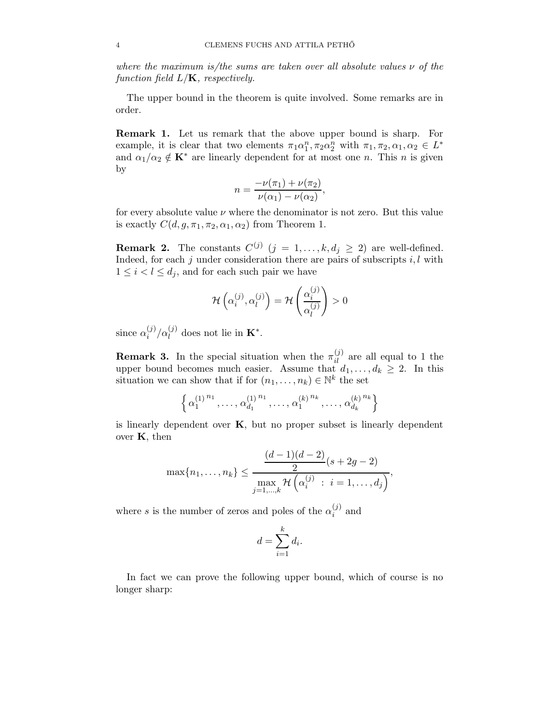where the maximum is/the sums are taken over all absolute values  $\nu$  of the function field  $L/K$ , respectively.

The upper bound in the theorem is quite involved. Some remarks are in order.

Remark 1. Let us remark that the above upper bound is sharp. For example, it is clear that two elements  $\pi_1 \alpha_1^n, \pi_2 \alpha_2^n$  with  $\pi_1, \pi_2, \alpha_1, \alpha_2 \in L^*$ and  $\alpha_1/\alpha_2 \notin K^*$  are linearly dependent for at most one n. This n is given by

$$
n = \frac{-\nu(\pi_1) + \nu(\pi_2)}{\nu(\alpha_1) - \nu(\alpha_2)},
$$

for every absolute value  $\nu$  where the denominator is not zero. But this value is exactly  $C(d, g, \pi_1, \pi_2, \alpha_1, \alpha_2)$  from Theorem 1.

**Remark 2.** The constants  $C^{(j)}$   $(j = 1, ..., k, d_j \ge 2)$  are well-defined. Indeed, for each  $j$  under consideration there are pairs of subscripts  $i, l$  with  $1 \leq i < l \leq d_j$ , and for each such pair we have

$$
\mathcal{H}\left(\alpha_i^{(j)}, \alpha_l^{(j)}\right) = \mathcal{H}\left(\frac{\alpha_i^{(j)}}{\alpha_l^{(j)}}\right) > 0
$$

since  $\alpha_i^{(j)}$  $i^{(j)}/\alpha_l^{(j)}$  does not lie in **K**<sup>\*</sup>.

**Remark 3.** In the special situation when the  $\pi_{il}^{(j)}$  are all equal to 1 the upper bound becomes much easier. Assume that  $d_1, \ldots, d_k \geq 2$ . In this situation we can show that if for  $(n_1, \ldots, n_k) \in \mathbb{N}^k$  the set

$$
\left\{ \alpha_1^{(1)}^{n_1}, \ldots, \alpha_{d_1}^{(1)}^{n_1}, \ldots, \alpha_1^{(k)}^{n_k}, \ldots, \alpha_{d_k}^{(k)}^{n_k} \right\}
$$

is linearly dependent over  $K$ , but no proper subset is linearly dependent over  $K$ , then

$$
\max\{n_1, \ldots, n_k\} \le \frac{\frac{(d-1)(d-2)}{2}(s+2g-2)}{\max_{j=1,\ldots,k} \mathcal{H}\left(\alpha_i^{(j)} : i=1,\ldots,d_j\right)},
$$

where s is the number of zeros and poles of the  $\alpha_i^{(j)}$  $i^{\prime\prime}$  and

$$
d = \sum_{i=1}^{k} d_i.
$$

In fact we can prove the following upper bound, which of course is no longer sharp: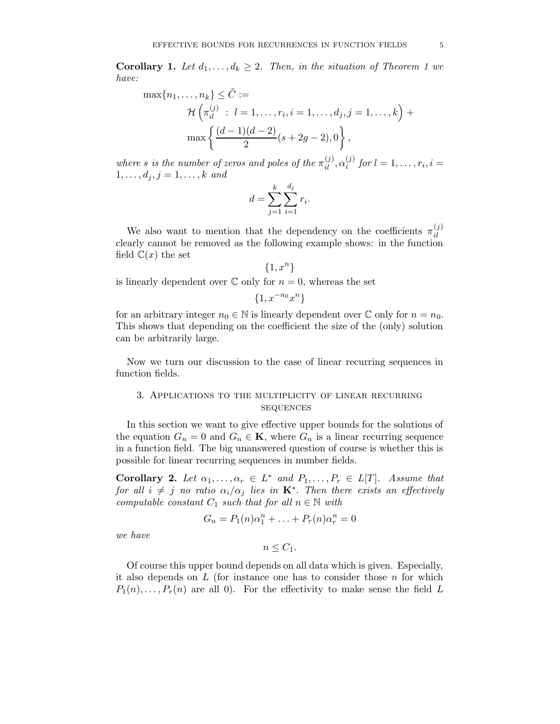**Corollary 1.** Let  $d_1, \ldots, d_k \geq 2$ . Then, in the situation of Theorem 1 we have:

$$
\max\{n_1, \dots, n_k\} \le \tilde{C} :=
$$
  
\n
$$
\mathcal{H}\left(\pi_{il}^{(j)} : l = 1, \dots, r_i, i = 1, \dots, d_j, j = 1, \dots, k\right) +
$$
  
\n
$$
\max\left\{\frac{(d-1)(d-2)}{2}(s+2g-2), 0\right\},
$$

where s is the number of zeros and poles of the  $\pi_{il}^{(j)}, \alpha_i^{(j)}$  $i^{(j)}$  for  $l = 1, \ldots, r_i, i =$  $1, \ldots, d_j, j = 1, \ldots, k \text{ and }$ 

$$
d = \sum_{j=1}^{k} \sum_{i=1}^{d_j} r_i.
$$

We also want to mention that the dependency on the coefficients  $\pi_{il}^{(j)}$ il clearly cannot be removed as the following example shows: in the function field  $\mathbb{C}(x)$  the set

$$
\{1, x^n\}
$$

is linearly dependent over  $\mathbb C$  only for  $n = 0$ , whereas the set

$$
\{1, x^{-n_0}x^n\}
$$

for an arbitrary integer  $n_0 \in \mathbb{N}$  is linearly dependent over  $\mathbb C$  only for  $n = n_0$ . This shows that depending on the coefficient the size of the (only) solution can be arbitrarily large.

Now we turn our discussion to the case of linear recurring sequences in function fields.

## 3. Applications to the multiplicity of linear recurring sequences

In this section we want to give effective upper bounds for the solutions of the equation  $G_n = 0$  and  $G_n \in \mathbf{K}$ , where  $G_n$  is a linear recurring sequence in a function field. The big unanswered question of course is whether this is possible for linear recurring sequences in number fields.

Corollary 2. Let  $\alpha_1, \ldots, \alpha_r \in L^*$  and  $P_1, \ldots, P_r \in L[T]$ . Assume that for all  $i \neq j$  no ratio  $\alpha_i/\alpha_j$  lies in  $\mathbf{K}^*$ . Then there exists an effectively computable constant  $C_1$  such that for all  $n \in \mathbb{N}$  with

$$
G_n = P_1(n)\alpha_1^n + \ldots + P_r(n)\alpha_r^n = 0
$$

we have

 $n \leq C_1$ .

Of course this upper bound depends on all data which is given. Especially, it also depends on  $L$  (for instance one has to consider those  $n$  for which  $P_1(n), \ldots, P_r(n)$  are all 0). For the effectivity to make sense the field L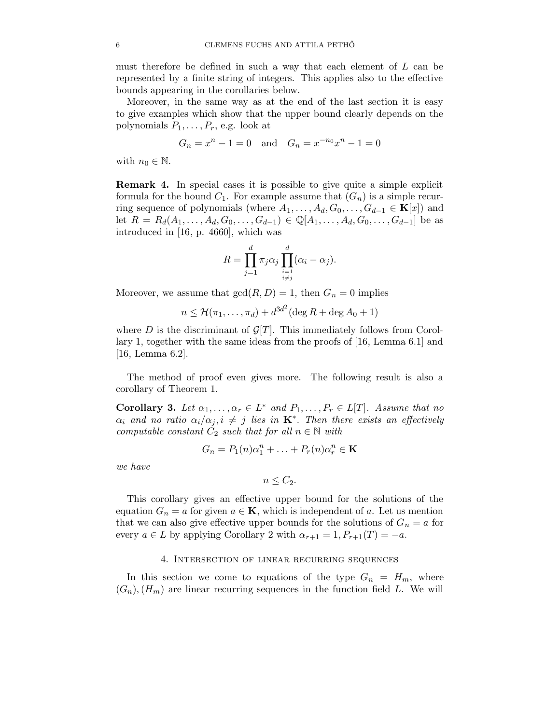must therefore be defined in such a way that each element of L can be represented by a finite string of integers. This applies also to the effective bounds appearing in the corollaries below.

Moreover, in the same way as at the end of the last section it is easy to give examples which show that the upper bound clearly depends on the polynomials  $P_1, \ldots, P_r$ , e.g. look at

$$
G_n = x^n - 1 = 0
$$
 and  $G_n = x^{-n_0}x^n - 1 = 0$ 

with  $n_0 \in \mathbb{N}$ .

Remark 4. In special cases it is possible to give quite a simple explicit formula for the bound  $C_1$ . For example assume that  $(G_n)$  is a simple recurring sequence of polynomials (where  $A_1, \ldots, A_d, G_0, \ldots, G_{d-1} \in \mathbf{K}[x]$ ) and let  $R = R_d(A_1, \ldots, A_d, G_0, \ldots, G_{d-1}) \in \mathbb{Q}[A_1, \ldots, A_d, G_0, \ldots, G_{d-1}]$  be as introduced in [16, p. 4660], which was

$$
R = \prod_{j=1}^{d} \pi_j \alpha_j \prod_{\substack{i=1 \\ i \neq j}}^{d} (\alpha_i - \alpha_j).
$$

Moreover, we assume that  $gcd(R, D) = 1$ , then  $G_n = 0$  implies

$$
n \leq \mathcal{H}(\pi_1,\ldots,\pi_d) + d^{3d^2}(\deg R + \deg A_0 + 1)
$$

where D is the discriminant of  $\mathcal{G}[T]$ . This immediately follows from Corollary 1, together with the same ideas from the proofs of [16, Lemma 6.1] and [16, Lemma 6.2].

The method of proof even gives more. The following result is also a corollary of Theorem 1.

**Corollary 3.** Let  $\alpha_1, \ldots, \alpha_r \in L^*$  and  $P_1, \ldots, P_r \in L[T]$ . Assume that no  $\alpha_i$  and no ratio  $\alpha_i/\alpha_j$ ,  $i \neq j$  lies in  $\mathbf{K}^*$ . Then there exists an effectively computable constant  $C_2$  such that for all  $n \in \mathbb{N}$  with

$$
G_n = P_1(n)\alpha_1^n + \ldots + P_r(n)\alpha_r^n \in \mathbf{K}
$$

we have

$$
n \leq C_2.
$$

This corollary gives an effective upper bound for the solutions of the equation  $G_n = a$  for given  $a \in \mathbf{K}$ , which is independent of a. Let us mention that we can also give effective upper bounds for the solutions of  $G_n = a$  for every  $a \in L$  by applying Corollary 2 with  $\alpha_{r+1} = 1, P_{r+1}(T) = -a$ .

#### 4. Intersection of linear recurring sequences

In this section we come to equations of the type  $G_n = H_m$ , where  $(G_n), (H_m)$  are linear recurring sequences in the function field L. We will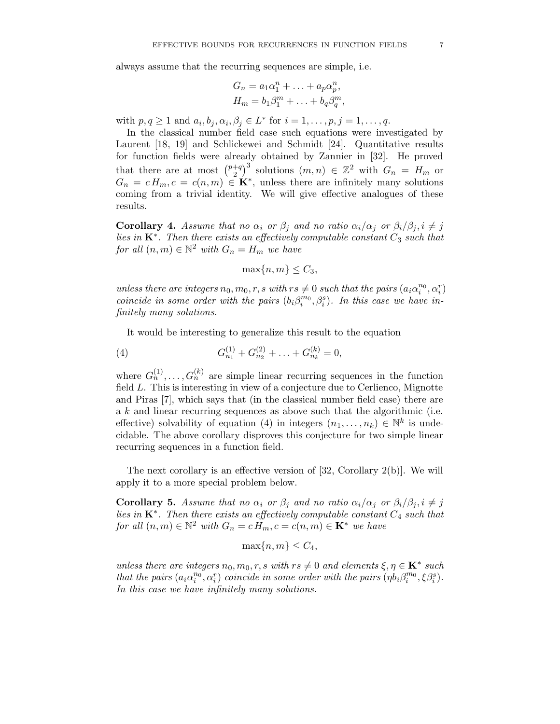always assume that the recurring sequences are simple, i.e.

$$
G_n = a_1 \alpha_1^n + \dots + a_p \alpha_p^n,
$$
  
\n
$$
H_m = b_1 \beta_1^m + \dots + b_q \beta_q^m,
$$

with  $p, q \ge 1$  and  $a_i, b_j, \alpha_i, \beta_j \in L^*$  for  $i = 1, \ldots, p, j = 1, \ldots, q$ .

In the classical number field case such equations were investigated by Laurent [18, 19] and Schlickewei and Schmidt [24]. Quantitative results for function fields were already obtained by Zannier in [32]. He proved that there are at most  $\binom{p+q}{2}$  $\left(\begin{matrix}+q\\2\end{matrix}\right)^3$  solutions  $(m, n) \in \mathbb{Z}^2$  with  $G_n = H_m$  or  $G_n = c H_m, c = c(n, m) \in \mathbf{K}^*$ , unless there are infinitely many solutions coming from a trivial identity. We will give effective analogues of these results.

**Corollary 4.** Assume that no  $\alpha_i$  or  $\beta_j$  and no ratio  $\alpha_i/\alpha_j$  or  $\beta_i/\beta_j, i \neq j$ lies in  $K^*$ . Then there exists an effectively computable constant  $C_3$  such that for all  $(n,m) \in \mathbb{N}^2$  with  $G_n = H_m$  we have

$$
\max\{n, m\} \le C_3,
$$

unless there are integers  $n_0, m_0, r, s$  with  $rs \neq 0$  such that the pairs  $(a_i \alpha_i^{n_0}, \alpha_i^r)$ coincide in some order with the pairs  $(b_i \beta_i^{m_0}, \beta_i^s)$ . In this case we have infinitely many solutions.

It would be interesting to generalize this result to the equation

 $(4)$  G  $G_{n_1}^{(1)}+G_{n_2}^{(2)}+\ldots+G_{n_k}^{(k)}=0,$ 

where  $G_n^{(1)}, \ldots, G_n^{(k)}$  are simple linear recurring sequences in the function field L. This is interesting in view of a conjecture due to Cerlienco, Mignotte and Piras [7], which says that (in the classical number field case) there are a k and linear recurring sequences as above such that the algorithmic (i.e. effective) solvability of equation (4) in integers  $(n_1, \ldots, n_k) \in \mathbb{N}^k$  is undecidable. The above corollary disproves this conjecture for two simple linear recurring sequences in a function field.

The next corollary is an effective version of [32, Corollary 2(b)]. We will apply it to a more special problem below.

**Corollary 5.** Assume that no  $\alpha_i$  or  $\beta_j$  and no ratio  $\alpha_i/\alpha_j$  or  $\beta_i/\beta_j$ ,  $i \neq j$ lies in  $K^*$ . Then there exists an effectively computable constant  $C_4$  such that for all  $(n, m) \in \mathbb{N}^2$  with  $G_n = c \ddot{H_m}, c = c(n, m) \in \mathbf{K}^*$  we have

$$
\max\{n, m\} \le C_4,
$$

unless there are integers  $n_0, m_0, r, s$  with  $rs \neq 0$  and elements  $\xi, \eta \in \mathbf{K}^*$  such that the pairs  $(a_i \alpha_i^{n_0}, \alpha_i^r)$  coincide in some order with the pairs  $(\eta b_i \beta_i^{m_0}, \xi \beta_i^s)$ . In this case we have infinitely many solutions.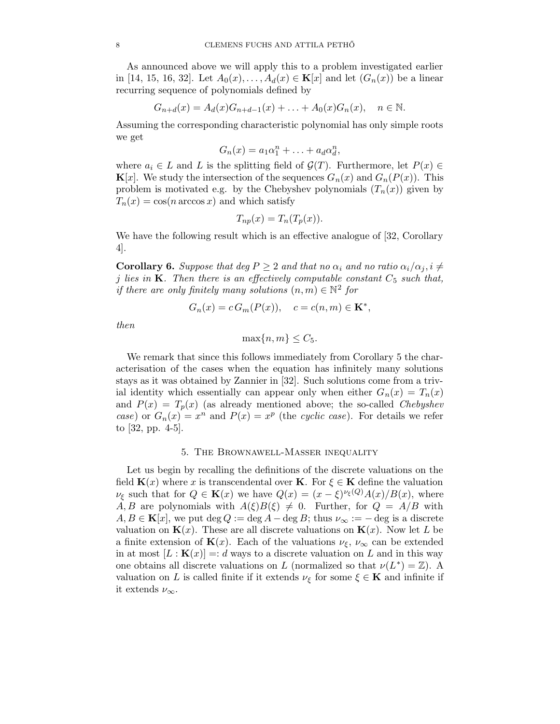As announced above we will apply this to a problem investigated earlier in [14, 15, 16, 32]. Let  $A_0(x),..., A_d(x) \in \mathbf{K}[x]$  and let  $(G_n(x))$  be a linear recurring sequence of polynomials defined by

$$
G_{n+d}(x) = A_d(x)G_{n+d-1}(x) + \ldots + A_0(x)G_n(x), \quad n \in \mathbb{N}.
$$

Assuming the corresponding characteristic polynomial has only simple roots we get

$$
G_n(x) = a_1 \alpha_1^n + \ldots + a_d \alpha_d^n,
$$

where  $a_i \in L$  and L is the splitting field of  $\mathcal{G}(T)$ . Furthermore, let  $P(x) \in$  ${\bf K}[x]$ . We study the intersection of the sequences  $G_n(x)$  and  $G_n(P(x))$ . This problem is motivated e.g. by the Chebyshev polynomials  $(T_n(x))$  given by  $T_n(x) = \cos(n \arccos x)$  and which satisfy

$$
T_{np}(x) = T_n(T_p(x)).
$$

We have the following result which is an effective analogue of [32, Corollary] 4].

**Corollary 6.** Suppose that deg  $P \geq 2$  and that no  $\alpha_i$  and no ratio  $\alpha_i/\alpha_j$ ,  $i \neq j$ j lies in K. Then there is an effectively computable constant  $C_5$  such that, if there are only finitely many solutions  $(n, m) \in \mathbb{N}^2$  for

$$
G_n(x) = c G_m(P(x)), \quad c = c(n,m) \in \mathbf{K}^*,
$$

then

$$
\max\{n, m\} \le C_5.
$$

We remark that since this follows immediately from Corollary 5 the characterisation of the cases when the equation has infinitely many solutions stays as it was obtained by Zannier in [32]. Such solutions come from a trivial identity which essentially can appear only when either  $G_n(x) = T_n(x)$ and  $P(x) = T_p(x)$  (as already mentioned above; the so-called Chebyshev case) or  $G_n(x) = x^n$  and  $P(x) = x^p$  (the cyclic case). For details we refer to [32, pp. 4-5].

### 5. The Brownawell-Masser inequality

Let us begin by recalling the definitions of the discrete valuations on the field  $\mathbf{K}(x)$  where x is transcendental over **K**. For  $\xi \in \mathbf{K}$  define the valuation  $\nu_{\xi}$  such that for  $Q \in \mathbf{K}(x)$  we have  $Q(x) = (x - \xi)^{\nu_{\xi}(Q)} A(x)/B(x)$ , where A, B are polynomials with  $A(\xi)B(\xi) \neq 0$ . Further, for  $Q' = A/B$  with  $A, B \in \mathbf{K}[x]$ , we put deg  $Q := \deg A - \deg B$ ; thus  $\nu_{\infty} := -\deg$  is a discrete valuation on  $\mathbf{K}(x)$ . These are all discrete valuations on  $\mathbf{K}(x)$ . Now let L be a finite extension of  $\mathbf{K}(x)$ . Each of the valuations  $\nu_{\xi}$ ,  $\nu_{\infty}$  can be extended in at most  $[L: \mathbf{K}(x)] =: d$  ways to a discrete valuation on L and in this way one obtains all discrete valuations on L (normalized so that  $\nu(L^*) = \mathbb{Z}$ ). A valuation on L is called finite if it extends  $\nu_{\xi}$  for some  $\xi \in \mathbf{K}$  and infinite if it extends  $\nu_{\infty}$ .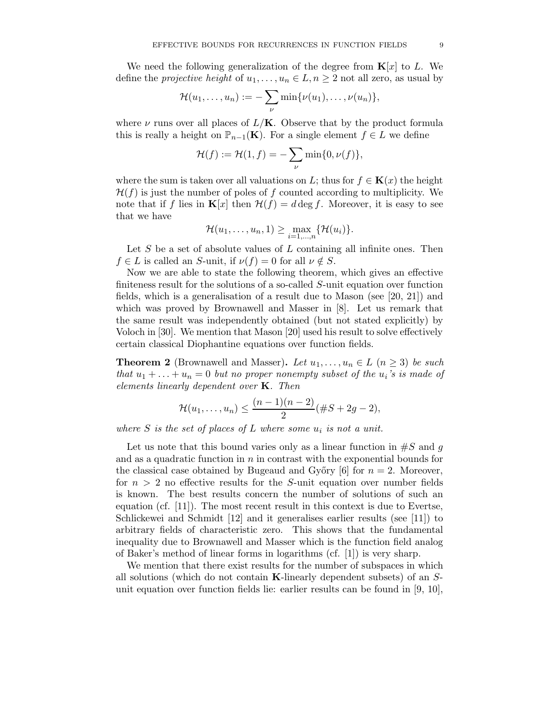We need the following generalization of the degree from  $K[x]$  to L. We define the *projective height* of  $u_1, \ldots, u_n \in L, n \geq 2$  not all zero, as usual by

$$
\mathcal{H}(u_1,\ldots,u_n):=-\sum_{\nu}\min\{\nu(u_1),\ldots,\nu(u_n)\},\,
$$

where  $\nu$  runs over all places of  $L/K$ . Observe that by the product formula this is really a height on  $\mathbb{P}_{n-1}(\mathbf{K})$ . For a single element  $f \in L$  we define

$$
\mathcal{H}(f) := \mathcal{H}(1, f) = -\sum_{\nu} \min\{0, \nu(f)\},
$$

where the sum is taken over all valuations on L; thus for  $f \in K(x)$  the height  $\mathcal{H}(f)$  is just the number of poles of f counted according to multiplicity. We note that if f lies in  $\mathbf{K}[x]$  then  $\mathcal{H}(f) = d \deg f$ . Moreover, it is easy to see that we have

$$
\mathcal{H}(u_1,\ldots,u_n,1)\geq \max_{i=1,\ldots,n}\{\mathcal{H}(u_i)\}.
$$

Let  $S$  be a set of absolute values of  $L$  containing all infinite ones. Then  $f \in L$  is called an S-unit, if  $\nu(f) = 0$  for all  $\nu \notin S$ .

Now we are able to state the following theorem, which gives an effective finiteness result for the solutions of a so-called S-unit equation over function fields, which is a generalisation of a result due to Mason (see [20, 21]) and which was proved by Brownawell and Masser in [8]. Let us remark that the same result was independently obtained (but not stated explicitly) by Voloch in [30]. We mention that Mason [20] used his result to solve effectively certain classical Diophantine equations over function fields.

**Theorem 2** (Brownawell and Masser). Let  $u_1, \ldots, u_n \in L$  ( $n \geq 3$ ) be such that  $u_1 + \ldots + u_n = 0$  but no proper nonempty subset of the  $u_i$ 's is made of elements linearly dependent over K. Then

$$
\mathcal{H}(u_1,\ldots,u_n) \le \frac{(n-1)(n-2)}{2}(\#S+2g-2),
$$

where  $S$  is the set of places of  $L$  where some  $u_i$  is not a unit.

Let us note that this bound varies only as a linear function in  $\#S$  and g and as a quadratic function in  $n$  in contrast with the exponential bounds for the classical case obtained by Bugeaud and Győry [6] for  $n = 2$ . Moreover, for  $n > 2$  no effective results for the S-unit equation over number fields is known. The best results concern the number of solutions of such an equation (cf. [11]). The most recent result in this context is due to Evertse, Schlickewei and Schmidt [12] and it generalises earlier results (see [11]) to arbitrary fields of characteristic zero. This shows that the fundamental inequality due to Brownawell and Masser which is the function field analog of Baker's method of linear forms in logarithms (cf. [1]) is very sharp.

We mention that there exist results for the number of subspaces in which all solutions (which do not contain **K**-linearly dependent subsets) of an  $S$ unit equation over function fields lie: earlier results can be found in  $[9, 10]$ ,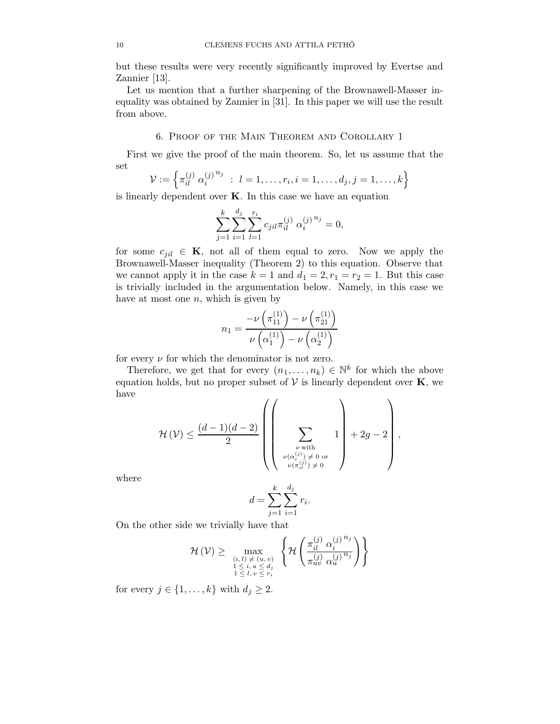but these results were very recently significantly improved by Evertse and Zannier [13].

Let us mention that a further sharpening of the Brownawell-Masser inequality was obtained by Zannier in [31]. In this paper we will use the result from above.

### 6. Proof of the Main Theorem and Corollary 1

First we give the proof of the main theorem. So, let us assume that the set

$$
\mathcal{V} := \left\{ \pi_{il}^{(j)} \alpha_i^{(j)^{n_j}} \; : \; l = 1, \dots, r_i, i = 1, \dots, d_j, j = 1, \dots, k \right\}
$$

is linearly dependent over  $K$ . In this case we have an equation

$$
\sum_{j=1}^{k} \sum_{i=1}^{d_j} \sum_{l=1}^{r_i} c_{jil} \pi_{il}^{(j)} \alpha_i^{(j)}^{n_j} = 0,
$$

for some  $c_{ijl} \in \mathbf{K}$ , not all of them equal to zero. Now we apply the Brownawell-Masser inequality (Theorem 2) to this equation. Observe that we cannot apply it in the case  $k = 1$  and  $d_1 = 2, r_1 = r_2 = 1$ . But this case is trivially included in the argumentation below. Namely, in this case we have at most one  $n$ , which is given by

$$
n_1 = \frac{-\nu \left(\pi_{11}^{(1)}\right) - \nu \left(\pi_{21}^{(1)}\right)}{\nu \left(\alpha_1^{(1)}\right) - \nu \left(\alpha_2^{(1)}\right)}
$$

for every  $\nu$  for which the denominator is not zero.

Therefore, we get that for every  $(n_1, \ldots, n_k) \in \mathbb{N}^k$  for which the above equation holds, but no proper subset of  $V$  is linearly dependent over  $K$ , we have  $\sqrt{ }$ 

$$
\mathcal{H}\left(\mathcal{V}\right) \leq \frac{(d-1)(d-2)}{2} \left(\left(\sum_{\substack{\nu \text{ with} \\ \nu(\alpha_i^{(j)}) \neq 0 \\ \nu(\pi_{il}^{(j)}) \neq 0}}1\right) + 2g - 2\right),
$$

where

$$
d = \sum_{j=1}^{k} \sum_{i=1}^{d_j} r_i.
$$

On the other side we trivially have that

$$
\mathcal{H}(\mathcal{V}) \geq \max_{\substack{(i,l) \neq (u,v) \\ 1 \leq i, u \leq d_j \\ 1 \leq l, v \leq r_i}} \left\{ \mathcal{H} \left( \frac{\pi_{il}^{(j)} \alpha_{i}^{(j)^{n_j}}}{\pi_{uv}^{(j)} \alpha_{u}^{(j)^{n_j}}} \right) \right\}
$$

for every  $j \in \{1, \ldots, k\}$  with  $d_j \geq 2$ .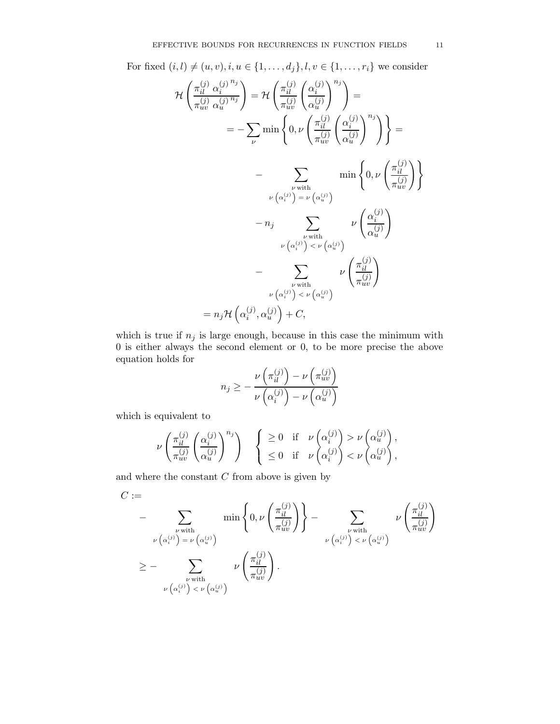For fixed  $(i, l) \neq (u, v), i, u \in \{1, ..., d_j\}, l, v \in \{1, ..., r_i\}$  we consider

$$
\mathcal{H}\left(\frac{\pi_{il}^{(j)} \alpha_{i}^{(j) n_{j}}}{\pi_{uv}^{(j)} \alpha_{u}^{(j) n_{j}}}\right) = \mathcal{H}\left(\frac{\pi_{il}^{(j)}}{\pi_{uv}^{(j)}} \left(\frac{\alpha_{i}^{(j)}}{\alpha_{u}^{(j)}}\right)^{n_{j}}\right) =
$$
\n
$$
= -\sum_{\nu} \min\left\{0, \nu \left(\frac{\pi_{il}^{(j)}}{\pi_{uv}^{(j)}} \left(\frac{\alpha_{i}^{(j)}}{\alpha_{u}^{(j)}}\right)^{n_{j}}\right)\right\} =
$$
\n
$$
- \sum_{\nu \text{ with } \atop \nu (\alpha_{i}^{(j)}) = \nu (\alpha_{u}^{(j)})} \min\left\{0, \nu \left(\frac{\pi_{il}^{(j)}}{\pi_{uv}^{(j)}}\right)\right\}
$$
\n
$$
-n_{j} \sum_{\nu \text{ with } \atop \nu (\alpha_{i}^{(j)}) < \nu (\alpha_{u}^{(j)})} \nu \left(\frac{\alpha_{i}^{(j)}}{\alpha_{u}^{(j)}}\right)
$$
\n
$$
- \sum_{\nu \text{ with } \atop \nu (\alpha_{i}^{(j)}) < \nu (\alpha_{u}^{(j)})} \nu \left(\frac{\pi_{il}^{(j)}}{\pi_{uv}^{(j)}}\right)
$$
\n
$$
= n_{j} \mathcal{H}\left(\alpha_{i}^{(j)}, \alpha_{u}^{(j)}\right) + C,
$$

which is true if  $n_j$  is large enough, because in this case the minimum with 0 is either always the second element or 0, to be more precise the above equation holds for

$$
n_j \geq -\frac{\nu(\pi_{il}^{(j)}) - \nu(\pi_{uv}^{(j)})}{\nu(\alpha_i^{(j)}) - \nu(\alpha_u^{(j)})}
$$

which is equivalent to

$$
\nu\left(\frac{\pi_{il}^{(j)}}{\pi_{uv}^{(j)}}\left(\frac{\alpha_i^{(j)}}{\alpha_u^{(j)}}\right)^{n_j}\right) \quad \left\{\begin{array}{rcl} \geq 0 & \text{if} & \nu\left(\alpha_i^{(j)}\right) > \nu\left(\alpha_u^{(j)}\right), \\ \leq 0 & \text{if} & \nu\left(\alpha_i^{(j)}\right) < \nu\left(\alpha_u^{(j)}\right), \end{array}\right.
$$

and where the constant  $C$  from above is given by

$$
C := \n\int_{\nu \text{ with } \nu(\alpha_i^{(j)}) = \nu(\alpha_u^{(j)})} \min \left\{ 0, \nu\left(\frac{\pi_{il}^{(j)}}{\pi_{uv}^{(j)}}\right) \right\} - \sum_{\substack{\nu \text{ with } \nu(\alpha_i^{(j)}) < \nu(\alpha_u^{(j)})}} \nu\left(\frac{\pi_{il}^{(j)}}{\pi_{uv}^{(j)}}\right) \\
\geq - \sum_{\substack{\nu \text{ with } \nu(\alpha_i^{(j)}) < \nu(\alpha_u^{(j)})}} \nu\left(\frac{\pi_{il}^{(j)}}{\pi_{uv}^{(j)}}\right).
$$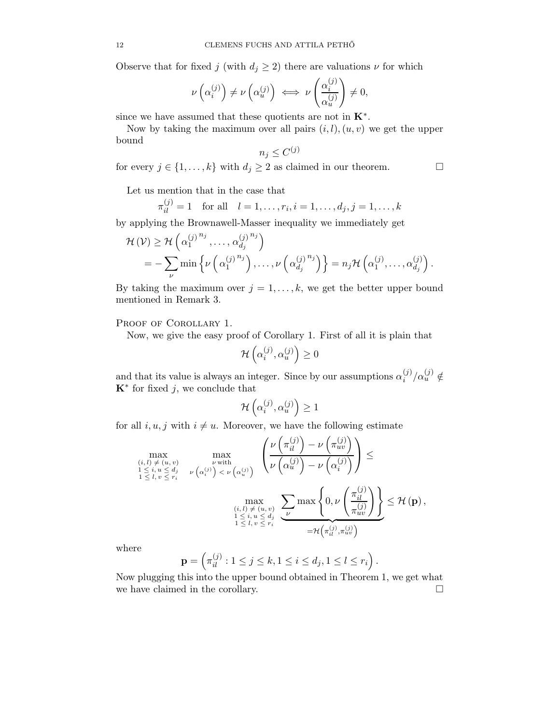Observe that for fixed j (with  $d_j \geq 2$ ) there are valuations  $\nu$  for which

$$
\nu\left(\alpha_i^{(j)}\right) \neq \nu\left(\alpha_u^{(j)}\right) \iff \nu\left(\frac{\alpha_i^{(j)}}{\alpha_u^{(j)}}\right) \neq 0,
$$

since we have assumed that these quotients are not in  $\mathbf{K}^*$ .

Now by taking the maximum over all pairs  $(i, l), (u, v)$  we get the upper bound

$$
n_j \le C^{(j)}
$$

for every  $j \in \{1, ..., k\}$  with  $d_j \geq 2$  as claimed in our theorem.

Let us mention that in the case that

$$
\pi_{il}^{(j)} = 1
$$
 for all  $l = 1, ..., r_i, i = 1, ..., d_j, j = 1, ..., k$ 

by applying the Brownawell-Masser inequality we immediately get

$$
\mathcal{H}(\mathcal{V}) \geq \mathcal{H}\left(\alpha_1^{(j)^{n_j}}, \ldots, \alpha_{d_j}^{(j)^{n_j}}\right) \n= -\sum_{\nu} \min \left\{ \nu \left(\alpha_1^{(j)^{n_j}}\right), \ldots, \nu \left(\alpha_{d_j}^{(j)^{n_j}}\right) \right\} = n_j \mathcal{H}\left(\alpha_1^{(j)}, \ldots, \alpha_{d_j}^{(j)}\right).
$$

By taking the maximum over  $j = 1, \ldots, k$ , we get the better upper bound mentioned in Remark 3.

PROOF OF COROLLARY 1.

Now, we give the easy proof of Corollary 1. First of all it is plain that

$$
\mathcal{H}\left(\alpha_i^{(j)},\alpha_u^{(j)}\right)\geq 0
$$

and that its value is always an integer. Since by our assumptions  $\alpha_i^{(j)}$  $\binom{j}{i}/\alpha_u^{(j)} \notin$  $\mathbf{K}^*$  for fixed j, we conclude that

$$
\mathcal{H}\left(\alpha_i^{(j)}, \alpha_u^{(j)}\right) \ge 1
$$

for all  $i, u, j$  with  $i \neq u$ . Moreover, we have the following estimate

$$
\max_{\substack{(i,l) \neq (u,v) \\ 1 \leq i,u \leq d_j \\ 1 \leq l,v \leq r_i}} \max_{\substack{\nu \text{ with} \\ \nu \left(\alpha_i^{(j)}\right) < \nu\left(\alpha_u^{(j)}\right) \\ \nu \left(\alpha_u^{(j)}\right) < \nu\left(\alpha_u^{(j)}\right) \\ \max_{\substack{(i,l) \neq (u,v) \\ 1 \leq i,u \leq d_j \\ 1 \leq l,v \leq r_i}} \sum_{\substack{\nu \text{ max} \\ \nu \left(\alpha_u^{(j)}\right) < \nu\left(\alpha_u^{(j)}\right) \\ \nu \left(\alpha_u^{(j)}\right) < \nu\left(\alpha_u^{(j)}\right) \\ \nu \left(\alpha_u^{(j)}\right) < \nu\left(\alpha_u^{(j)}\right) \\ \nu \left(\alpha_u^{(j)}\right) < \nu\left(\alpha_u^{(j)}\right) \\ \nu \left(\alpha_u^{(j)}\right) < \nu\left(\alpha_u^{(j)}\right) \nu\left(\alpha_u^{(j)}\right) \nu\left(\alpha_u^{(j)}\right)
$$

where

$$
\mathbf{p} = \left( \pi_{il}^{(j)} : 1 \le j \le k, 1 \le i \le d_j, 1 \le l \le r_i \right).
$$

Now plugging this into the upper bound obtained in Theorem 1, we get what we have claimed in the corollary.  $\Box$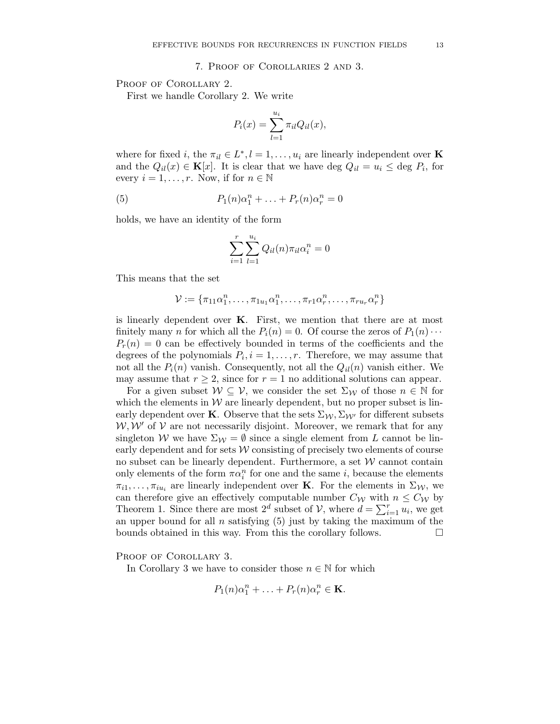7. Proof of Corollaries 2 and 3.

PROOF OF COROLLARY 2.

First we handle Corollary 2. We write

$$
P_i(x) = \sum_{l=1}^{u_i} \pi_{il} Q_{il}(x),
$$

where for fixed *i*, the  $\pi_{il} \in L^*$ ,  $l = 1, ..., u_i$  are linearly independent over **K** and the  $Q_{il}(x) \in \mathbf{K}[x]$ . It is clear that we have deg  $Q_{il} = u_i \le \text{deg } P_i$ , for every  $i = 1, \ldots, r$ . Now, if for  $n \in \mathbb{N}$ 

(5) 
$$
P_1(n)\alpha_1^n + \ldots + P_r(n)\alpha_r^n = 0
$$

holds, we have an identity of the form

$$
\sum_{i=1}^{r} \sum_{l=1}^{u_i} Q_{il}(n) \pi_{il} \alpha_i^n = 0
$$

This means that the set

$$
\mathcal{V} := \{ \pi_{11} \alpha_1^n, \dots, \pi_{1u_1} \alpha_1^n, \dots, \pi_{r1} \alpha_r^n, \dots, \pi_{ru_r} \alpha_r^n \}
$$

is linearly dependent over  $\bf{K}$ . First, we mention that there are at most finitely many *n* for which all the  $P_i(n) = 0$ . Of course the zeros of  $P_1(n) \cdots$  $P_r(n) = 0$  can be effectively bounded in terms of the coefficients and the degrees of the polynomials  $P_i$ ,  $i = 1, ..., r$ . Therefore, we may assume that not all the  $P_i(n)$  vanish. Consequently, not all the  $Q_{il}(n)$  vanish either. We may assume that  $r \geq 2$ , since for  $r = 1$  no additional solutions can appear.

For a given subset  $W \subseteq V$ , we consider the set  $\Sigma_W$  of those  $n \in \mathbb{N}$  for which the elements in  $\mathcal W$  are linearly dependent, but no proper subset is linearly dependent over **K**. Observe that the sets  $\Sigma_{W}$ ,  $\Sigma_{W'}$  for different subsets  $W, W'$  of V are not necessarily disjoint. Moreover, we remark that for any singleton W we have  $\Sigma_{\mathcal{W}} = \emptyset$  since a single element from L cannot be linearly dependent and for sets  $W$  consisting of precisely two elements of course no subset can be linearly dependent. Furthermore, a set  $W$  cannot contain only elements of the form  $\pi \alpha_i^n$  for one and the same *i*, because the elements  $\pi_{i1}, \ldots, \pi_{iu_i}$  are linearly independent over **K**. For the elements in  $\Sigma_{\mathcal{W}}$ , we can therefore give an effectively computable number  $C_W$  with  $n \leq C_W$  by Theorem 1. Since there are most  $2^d$  subset of  $\mathcal{V}$ , where  $d = \sum_{i=1}^r u_i$ , we get an upper bound for all  $n$  satisfying  $(5)$  just by taking the maximum of the bounds obtained in this way. From this the corollary follows.

PROOF OF COROLLARY 3.

In Corollary 3 we have to consider those  $n \in \mathbb{N}$  for which

$$
P_1(n)\alpha_1^n + \ldots + P_r(n)\alpha_r^n \in \mathbf{K}.
$$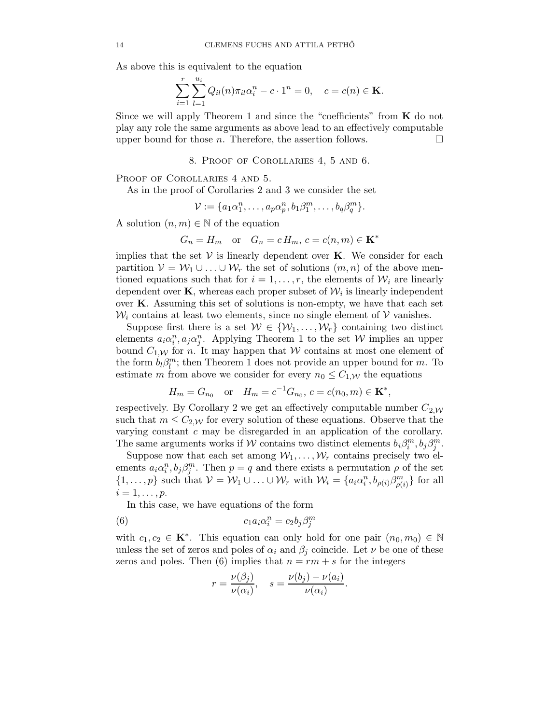As above this is equivalent to the equation

$$
\sum_{i=1}^{r} \sum_{l=1}^{u_i} Q_{il}(n) \pi_{il} \alpha_i^n - c \cdot 1^n = 0, \quad c = c(n) \in \mathbf{K}.
$$

Since we will apply Theorem 1 and since the "coefficients" from  $K$  do not play any role the same arguments as above lead to an effectively computable upper bound for those *n*. Therefore, the assertion follows.  $\Box$ 

#### 8. Proof of Corollaries 4, 5 and 6.

PROOF OF COROLLARIES 4 AND 5.

As in the proof of Corollaries 2 and 3 we consider the set

$$
\mathcal{V} := \{a_1 \alpha_1^n, \dots, a_p \alpha_p^n, b_1 \beta_1^m, \dots, b_q \beta_q^m\}.
$$

A solution  $(n, m) \in \mathbb{N}$  of the equation

$$
G_n = H_m
$$
 or  $G_n = c H_m$ ,  $c = c(n, m) \in \mathbf{K}^*$ 

implies that the set  $V$  is linearly dependent over  $K$ . We consider for each partition  $V = W_1 \cup ... \cup W_r$  the set of solutions  $(m, n)$  of the above mentioned equations such that for  $i = 1, \ldots, r$ , the elements of  $\mathcal{W}_i$  are linearly dependent over **K**, whereas each proper subset of  $\mathcal{W}_i$  is linearly independent over  $K$ . Assuming this set of solutions is non-empty, we have that each set  $\mathcal{W}_i$  contains at least two elements, since no single element of  $\mathcal V$  vanishes.

Suppose first there is a set  $W \in \{W_1, \ldots, W_r\}$  containing two distinct elements  $a_i \alpha_i^n, a_j \alpha_j^n$ . Applying Theorem 1 to the set W implies an upper bound  $C_{1,\mathcal{W}}$  for n. It may happen that W contains at most one element of the form  $b_l \beta_l^m$ ; then Theorem 1 does not provide an upper bound for m. To estimate m from above we consider for every  $n_0 \leq C_{1,\mathcal{W}}$  the equations

$$
H_m = G_{n_0}
$$
 or  $H_m = c^{-1}G_{n_0}$ ,  $c = c(n_0, m) \in \mathbf{K}^*$ ,

respectively. By Corollary 2 we get an effectively computable number  $C_{2,\mathcal{W}}$ such that  $m \leq C_{2,\mathcal{W}}$  for every solution of these equations. Observe that the varying constant c may be disregarded in an application of the corollary. The same arguments works if W contains two distinct elements  $b_i \beta_i^m, b_j \beta_j^m$ .

Suppose now that each set among  $W_1, \ldots, W_r$  contains precisely two elements  $a_i \alpha_i^n, b_j \beta_j^m$ . Then  $p = q$  and there exists a permutation  $\rho$  of the set  $\{1,\ldots,p\}$  such that  $\mathcal{V} = \mathcal{W}_1 \cup \ldots \cup \mathcal{W}_r$  with  $\mathcal{W}_i = \{a_i \alpha_i^n, b_{\rho(i)} \beta_{\rho(i)}^m\}$  for all  $i=1,\ldots,p.$ 

In this case, we have equations of the form

(6) 
$$
c_1 a_i \alpha_i^n = c_2 b_j \beta_j^m
$$

with  $c_1, c_2 \in \mathbf{K}^*$ . This equation can only hold for one pair  $(n_0, m_0) \in \mathbb{N}$ unless the set of zeros and poles of  $\alpha_i$  and  $\beta_i$  coincide. Let  $\nu$  be one of these zeros and poles. Then (6) implies that  $n = rm + s$  for the integers

$$
r = \frac{\nu(\beta_j)}{\nu(\alpha_i)}, \quad s = \frac{\nu(b_j) - \nu(a_i)}{\nu(\alpha_i)}
$$

.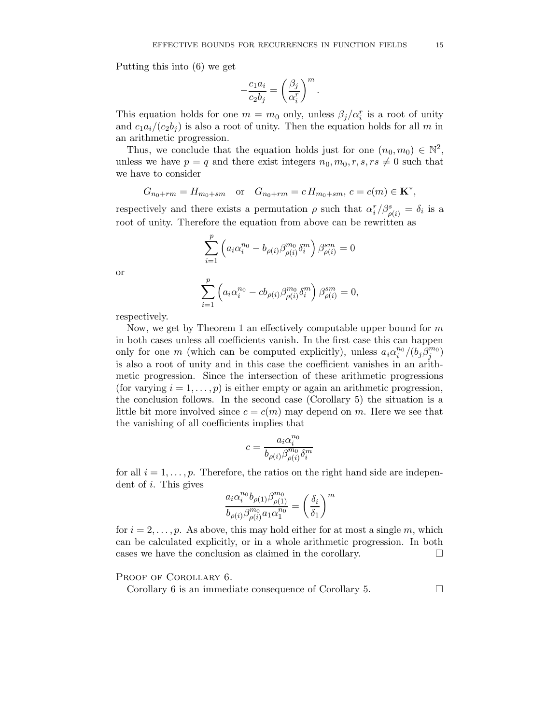Putting this into (6) we get

$$
-\frac{c_1a_i}{c_2b_j}=\left(\frac{\beta_j}{\alpha_i^r}\right)^m.
$$

This equation holds for one  $m = m_0$  only, unless  $\beta_j / \alpha_i^r$  is a root of unity and  $c_1a_i/(c_2b_i)$  is also a root of unity. Then the equation holds for all m in an arithmetic progression.

Thus, we conclude that the equation holds just for one  $(n_0, m_0) \in \mathbb{N}^2$ , unless we have  $p = q$  and there exist integers  $n_0, m_0, r, s, rs \neq 0$  such that we have to consider

 $G_{n_0+rm} = H_{m_0+sm}$  or  $G_{n_0+rm} = c H_{m_0+sm}$ ,  $c = c(m) \in \mathbf{K}^*$ ,

respectively and there exists a permutation  $\rho$  such that  $\alpha_i^r/\beta_{\rho(i)}^s = \delta_i$  is a root of unity. Therefore the equation from above can be rewritten as

$$
\sum_{i=1}^p \left( a_i \alpha_i^{n_0} - b_{\rho(i)} \beta_{\rho(i)}^{m_0} \delta_i^m \right) \beta_{\rho(i)}^{sm} = 0
$$

or

$$
\sum_{i=1}^p \left( a_i \alpha_i^{n_0} - c b_{\rho(i)} \beta_{\rho(i)}^{m_0} \delta_i^m \right) \beta_{\rho(i)}^{sm} = 0,
$$

respectively.

Now, we get by Theorem 1 an effectively computable upper bound for  $m$ in both cases unless all coefficients vanish. In the first case this can happen only for one m (which can be computed explicitly), unless  $a_i \alpha_i^{n_0} / (b_j \beta_j^{m_0})$ is also a root of unity and in this case the coefficient vanishes in an arithmetic progression. Since the intersection of these arithmetic progressions (for varying  $i = 1, \ldots, p$ ) is either empty or again an arithmetic progression, the conclusion follows. In the second case (Corollary 5) the situation is a little bit more involved since  $c = c(m)$  may depend on m. Here we see that the vanishing of all coefficients implies that

$$
c = \frac{a_i \alpha_i^{n_0}}{b_{\rho(i)} \beta_{\rho(i)}^{m_0} \delta_i^m}
$$

for all  $i = 1, \ldots, p$ . Therefore, the ratios on the right hand side are independent of i. This gives

$$
\frac{a_i\alpha_i^{n_0}b_{\rho(1)}\beta_{\rho(1)}^{m_0}}{b_{\rho(i)}\beta_{\rho(i)}^{m_0}a_1\alpha_1^{n_0}}=\left(\frac{\delta_i}{\delta_1}\right)^m
$$

for  $i = 2, \ldots, p$ . As above, this may hold either for at most a single m, which can be calculated explicitly, or in a whole arithmetic progression. In both cases we have the conclusion as claimed in the corollary.  $\square$ 

### PROOF OF COROLLARY 6.

Corollary 6 is an immediate consequence of Corollary 5.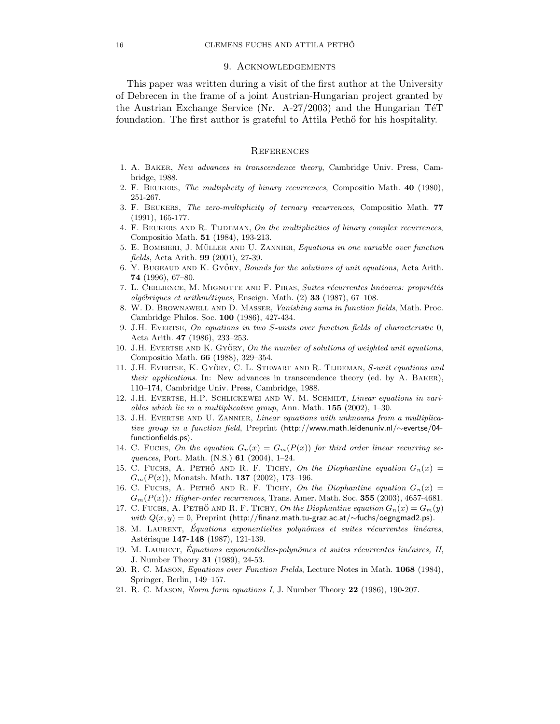#### 9. Acknowledgements

This paper was written during a visit of the first author at the University of Debrecen in the frame of a joint Austrian-Hungarian project granted by the Austrian Exchange Service (Nr.  $A-27/2003$ ) and the Hungarian TeT foundation. The first author is grateful to Attila Pethő for his hospitality.

#### **REFERENCES**

- 1. A. Baker, New advances in transcendence theory, Cambridge Univ. Press, Cambridge, 1988.
- 2. F. Beukers, The multiplicity of binary recurrences, Compositio Math. 40 (1980), 251-267.
- 3. F. Beukers, The zero-multiplicity of ternary recurrences, Compositio Math. 77 (1991), 165-177.
- 4. F. Beukers and R. Tijdeman, On the multiplicities of binary complex recurrences, Compositio Math. 51 (1984), 193-213.
- 5. E. BOMBIERI, J. MÜLLER AND U. ZANNIER, Equations in one variable over function fields, Acta Arith. 99 (2001), 27-39.
- 6. Y. BUGEAUD AND K. GYŐRY, Bounds for the solutions of unit equations, Acta Arith. 74 (1996), 67–80.
- 7. L. CERLIENCE, M. MIGNOTTE AND F. PIRAS, Suites récurrentes linéaires: propriétés  $alg\'ebriques et arithm\'etiques, Enseign. Math. (2) 33 (1987), 67–108.$
- 8. W. D. Brownawell and D. Masser, Vanishing sums in function fields, Math. Proc. Cambridge Philos. Soc. 100 (1986), 427-434.
- 9. J.H. Evertse, On equations in two S-units over function fields of characteristic 0, Acta Arith. 47 (1986), 233–253.
- 10. J.H. EVERTSE AND K. GYŐRY, On the number of solutions of weighted unit equations, Compositio Math. 66 (1988), 329–354.
- 11. J.H. EVERTSE, K. GYŐRY, C. L. STEWART AND R. TIJDEMAN, S-unit equations and their applications. In: New advances in transcendence theory (ed. by A. Baker), 110–174, Cambridge Univ. Press, Cambridge, 1988.
- 12. J.H. EVERTSE, H.P. SCHLICKEWEI AND W. M. SCHMIDT, Linear equations in variables which lie in a multiplicative group, Ann. Math. 155 (2002), 1–30.
- 13. J.H. Evertse and U. Zannier, Linear equations with unknowns from a multiplicative group in a function field, Preprint (http://www.math.leidenuniv.nl/∼evertse/04 functionfields.ps).
- 14. C. FUCHS, On the equation  $G_n(x) = G_m(P(x))$  for third order linear recurring sequences, Port. Math. (N.S.) **61** (2004), 1-24.
- 15. C. FUCHS, A. PETHŎ AND R. F. TICHY, On the Diophantine equation  $G_n(x)$  =  $G_m(P(x))$ , Monatsh. Math. 137 (2002), 173-196.
- 16. C. FUCHS, A. PETHŎ AND R. F. TICHY, On the Diophantine equation  $G_n(x)$  =  $G_m(P(x))$ : Higher-order recurrences, Trans. Amer. Math. Soc. 355 (2003), 4657-4681.
- 17. C. FUCHS, A. PETHŐ AND R. F. TICHY, On the Diophantine equation  $G_n(x) = G_m(y)$ with  $Q(x, y) = 0$ , Preprint (http://finanz.math.tu-graz.ac.at/∼fuchs/oegngmad2.ps).
- 18. M. LAURENT, Équations exponentielles polynômes et suites récurrentes linéares, Astérisque 147-148 (1987), 121-139.
- 19. M. LAURENT, Équations exponentielles-polynômes et suites récurrentes linéaires, II, J. Number Theory 31 (1989), 24-53.
- 20. R. C. Mason, Equations over Function Fields, Lecture Notes in Math. 1068 (1984), Springer, Berlin, 149–157.
- 21. R. C. Mason, Norm form equations I, J. Number Theory 22 (1986), 190-207.